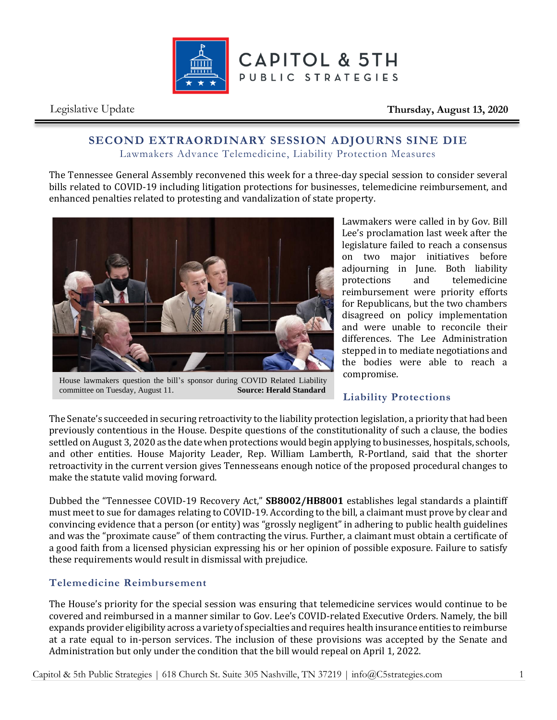

Legislative Update **Thursday, August 13, 2020**

## **SECOND EXTRAORDINARY SESSION ADJOURNS SINE DIE** Lawmakers Advance Telemedicine, Liability Protection Measures

The Tennessee General Assembly reconvened this week for a three-day special session to consider several bills related to COVID-19 including litigation protections for businesses, telemedicine reimbursement, and enhanced penalties related to protesting and vandalization of state property.



House lawmakers question the bill's sponsor during COVID Related Liability committee on Tuesday, August 11. Source: Herald Standard committee on Tuesday, August 11.

Lawmakers were called in by Gov. Bill Lee's proclamation last week after the legislature failed to reach a consensus on two major initiatives before adjourning in June. Both liability protections and telemedicine reimbursement were priority efforts for Republicans, but the two chambers disagreed on policy implementation and were unable to reconcile their differences. The Lee Administration stepped in to mediate negotiations and the bodies were able to reach a compromise.

## **Liability Protections**

The Senate's succeeded in securing retroactivity to the liability protection legislation, a priority that had been previously contentious in the House. Despite questions of the constitutionality of such a clause, the bodies settled on August 3, 2020 as the date when protections would begin applying to businesses, hospitals, schools, and other entities. House Majority Leader, Rep. William Lamberth, R-Portland, said that the shorter retroactivity in the current version gives Tennesseans enough notice of the proposed procedural changes to make the statute valid moving forward.

Dubbed the "Tennessee COVID-19 Recovery Act," **SB8002/HB8001** establishes legal standards a plaintiff must meet to sue for damages relating to COVID-19. According to the bill, a claimant must prove by clear and convincing evidence that a person (or entity) was "grossly negligent" in adhering to public health guidelines and was the "proximate cause" of them contracting the virus. Further, a claimant must obtain a certificate of a good faith from a licensed physician expressing his or her opinion of possible exposure. Failure to satisfy these requirements would result in dismissal with prejudice.

## **Telemedicine Reimbursement**

The House's priority for the special session was ensuring that telemedicine services would continue to be covered and reimbursed in a manner similar to Gov. Lee's COVID-related Executive Orders. Namely, the bill expands provider eligibility across a variety of specialties and requires health insurance entities to reimburse at a rate equal to in-person services. The inclusion of these provisions was accepted by the Senate and Administration but only under the condition that the bill would repeal on April 1, 2022.